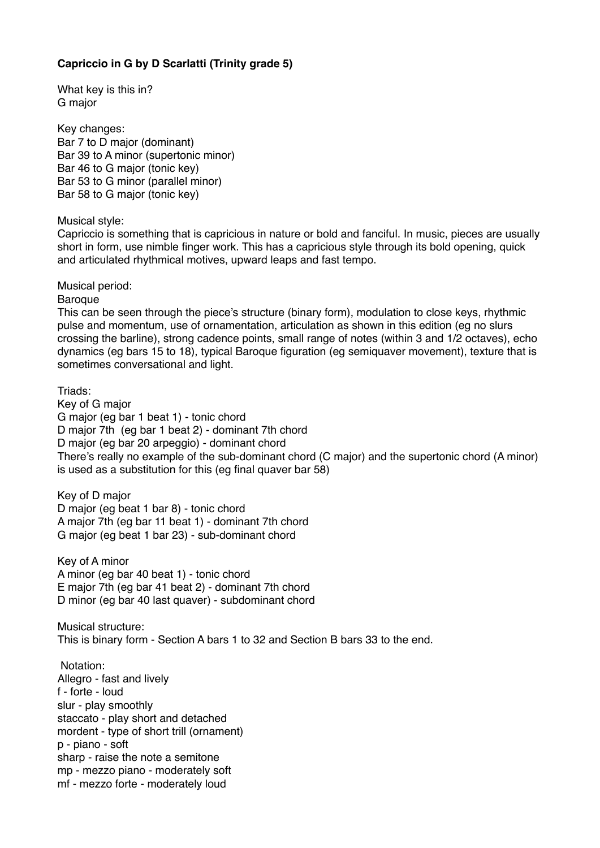## **Capriccio in G by D Scarlatti (Trinity grade 5)**

What key is this in? G major

Key changes: Bar 7 to D major (dominant) Bar 39 to A minor (supertonic minor) Bar 46 to G major (tonic key) Bar 53 to G minor (parallel minor) Bar 58 to G major (tonic key)

Musical style:

Capriccio is something that is capricious in nature or bold and fanciful. In music, pieces are usually short in form, use nimble finger work. This has a capricious style through its bold opening, quick and articulated rhythmical motives, upward leaps and fast tempo.

Musical period:

**Baroque** 

This can be seen through the piece's structure (binary form), modulation to close keys, rhythmic pulse and momentum, use of ornamentation, articulation as shown in this edition (eg no slurs crossing the barline), strong cadence points, small range of notes (within 3 and 1/2 octaves), echo dynamics (eg bars 15 to 18), typical Baroque figuration (eg semiquaver movement), texture that is sometimes conversational and light.

Triads: Key of G major G major (eg bar 1 beat 1) - tonic chord D major 7th (eg bar 1 beat 2) - dominant 7th chord D major (eg bar 20 arpeggio) - dominant chord There's really no example of the sub-dominant chord (C major) and the supertonic chord (A minor) is used as a substitution for this (eg final quaver bar 58)

Key of D major D major (eg beat 1 bar 8) - tonic chord A major 7th (eg bar 11 beat 1) - dominant 7th chord G major (eg beat 1 bar 23) - sub-dominant chord

Key of A minor A minor (eg bar 40 beat 1) - tonic chord E major 7th (eg bar 41 beat 2) - dominant 7th chord D minor (eg bar 40 last quaver) - subdominant chord

Musical structure: This is binary form - Section A bars 1 to 32 and Section B bars 33 to the end.

 Notation: Allegro - fast and lively f - forte - loud slur - play smoothly staccato - play short and detached mordent - type of short trill (ornament) p - piano - soft sharp - raise the note a semitone mp - mezzo piano - moderately soft mf - mezzo forte - moderately loud